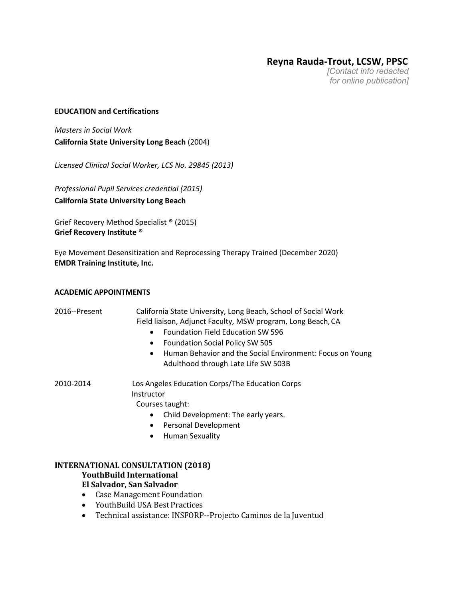**Reyna Rauda-Trout, LCSW, PPSC**

*[Contact info redacted for online publication]*

#### **EDUCATION and Certifications**

*Masters in Social Work* **California State University Long Beach** (2004)

*Licensed Clinical Social Worker, LCS No. 29845 (2013)* 

*Professional Pupil Services credential (2015)* **California State University Long Beach**

Grief Recovery Method Specialist ® (2015) **Grief Recovery Institute ®**

Eye Movement Desensitization and Reprocessing Therapy Trained (December 2020) **EMDR Training Institute, Inc.**

#### **ACADEMIC APPOINTMENTS**

| 2016--Present | California State University, Long Beach, School of Social Work<br>Field liaison, Adjunct Faculty, MSW program, Long Beach, CA<br><b>Foundation Field Education SW 596</b><br><b>Foundation Social Policy SW 505</b><br>Human Behavior and the Social Environment: Focus on Young<br>$\bullet$<br>Adulthood through Late Life SW 503B |
|---------------|--------------------------------------------------------------------------------------------------------------------------------------------------------------------------------------------------------------------------------------------------------------------------------------------------------------------------------------|
| 2010-2014     | Los Angeles Education Corps/The Education Corps<br>Instructor<br>Courses taught:                                                                                                                                                                                                                                                     |
|               | Child Development: The early years.                                                                                                                                                                                                                                                                                                  |
|               | <b>Personal Development</b><br>$\bullet$                                                                                                                                                                                                                                                                                             |
|               | <b>Human Sexuality</b>                                                                                                                                                                                                                                                                                                               |
|               | <b>INTERNATIONAL CONSULTATION (2018)</b>                                                                                                                                                                                                                                                                                             |

## **YouthBuild International**

**El Salvador, San Salvador**

- Case Management Foundation
- YouthBuild USA Best Practices
- Technical assistance: INSFORP--Projecto Caminos de la Juventud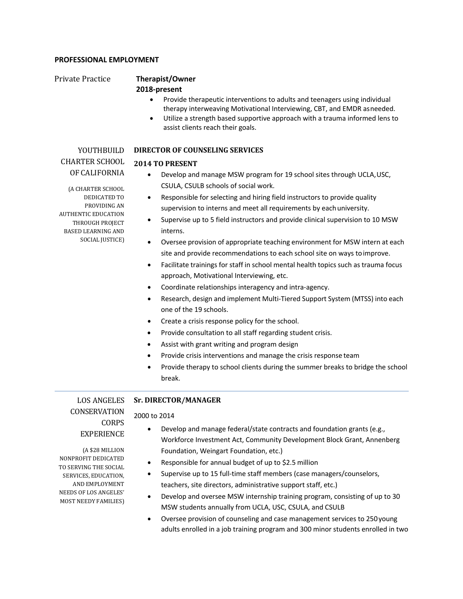#### **PROFESSIONAL EMPLOYMENT**

# Private Practice **Therapist/Owner**

## **2018-present**

- Provide therapeutic interventions to adults and teenagers using individual therapy interweaving Motivational Interviewing, CBT, and EMDR asneeded.
- Utilize a strength based supportive approach with a trauma informed lens to assist clients reach their goals.

# YOUTHBUILD CHARTER SCHOOL OF CALIFORNIA

#### **DIRECTOR OF COUNSELING SERVICES**

#### **2014 TO PRESENT**

- Develop and manage MSW program for 19 school sites through UCLA,USC, CSULA, CSULB schools of social work.
- Responsible for selecting and hiring field instructors to provide quality supervision to interns and meet all requirements by each university.
- Supervise up to 5 field instructors and provide clinical supervision to 10 MSW interns.
- Oversee provision of appropriate teaching environment for MSW intern at each site and provide recommendations to each school site on ways toimprove.
- Facilitate trainings for staff in school mental health topics such as trauma focus approach, Motivational Interviewing, etc.
- Coordinate relationships interagency and intra-agency.
- Research, design and implement Multi-Tiered Support System (MTSS) into each one of the 19 schools.
- Create a crisis response policy for the school.
- Provide consultation to all staff regarding student crisis.
- Assist with grant writing and program design
- Provide crisis interventions and manage the crisis response team
- Provide therapy to school clients during the summer breaks to bridge the school break.

LOS ANGELES **CONSERVATION** CORPS EXPERIENCE

## **Sr. DIRECTOR/MANAGER**

## 2000 to 2014

- Develop and manage federal/state contracts and foundation grants (e.g., Workforce Investment Act, Community Development Block Grant, Annenberg Foundation, Weingart Foundation, etc.)
- Responsible for annual budget of up to \$2.5 million
- Supervise up to 15 full-time staff members (case managers/counselors, teachers, site directors, administrative support staff, etc.)
- Develop and oversee MSW internship training program, consisting of up to 30 MSW students annually from UCLA, USC, CSULA, and CSULB
- Oversee provision of counseling and case management services to 250young adults enrolled in a job training program and 300 minor students enrolled in two

(A \$28 MILLION NONPROFIT DEDICATED TO SERVING THE SOCIAL SERVICES, EDUCATION, AND EMPLOYMENT NEEDS OF LOS ANGELES' MOST NEEDY FAMILIES)

(A CHARTER SCHOOL DEDICATED TO PROVIDING AN AUTHENTIC EDUCATION THROUGH PROJECT BASED LEARNING AND SOCIAL JUSTICE)